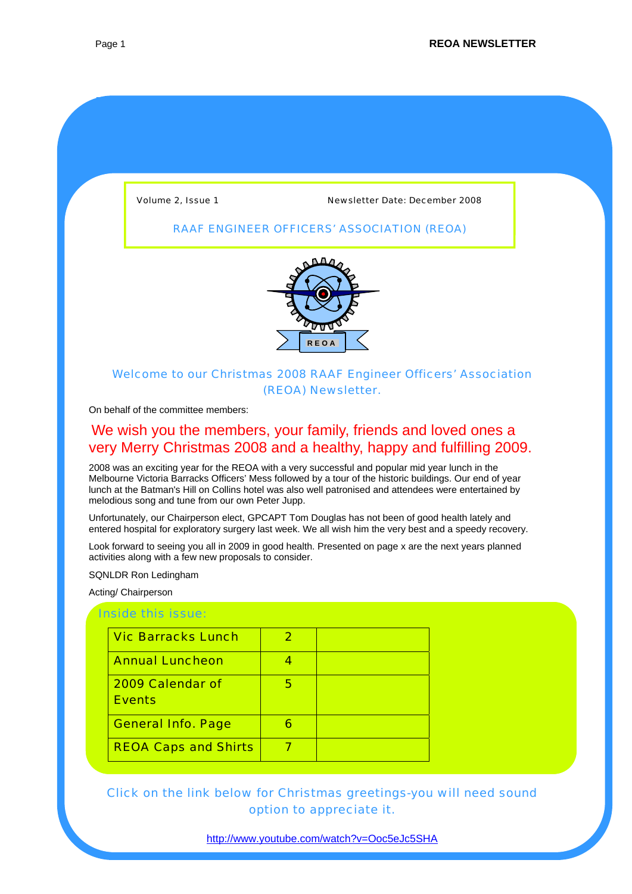Volume 2, Issue 1 Newsletter Date: December 2008

## RAAF ENGINEER OFFICERS' ASSOCIATION (REOA)



## Welcome to our Christmas 2008 RAAF Engineer Officers' Association (REOA) Newsletter.

On behalf of the committee members:

## We wish you the members, your family, friends and loved ones a very Merry Christmas 2008 and a healthy, happy and fulfilling 2009.

2008 was an exciting year for the REOA with a very successful and popular mid year lunch in the Melbourne Victoria Barracks Officers' Mess followed by a tour of the historic buildings. Our end of year lunch at the Batman's Hill on Collins hotel was also well patronised and attendees were entertained by melodious song and tune from our own Peter Jupp.

Unfortunately, our Chairperson elect, GPCAPT Tom Douglas has not been of good health lately and entered hospital for exploratory surgery last week. We all wish him the very best and a speedy recovery.

Look forward to seeing you all in 2009 in good health. Presented on page x are the next years planned activities along with a few new proposals to consider.

SQNLDR Ron Ledingham

Acting/ Chairperson

### Inside this issue:

| <b>Vic Barracks Lunch</b>         |   |  |
|-----------------------------------|---|--|
| <b>Annual Luncheon</b>            |   |  |
| 2009 Calendar of<br><b>Events</b> | 5 |  |
| <b>General Info. Page</b>         |   |  |
| <b>REOA Caps and Shirts</b>       |   |  |

Click on the link below for Christmas greetings-you will need sound option to appreciate it.

<http://www.youtube.com/watch?v=Ooc5eJc5SHA>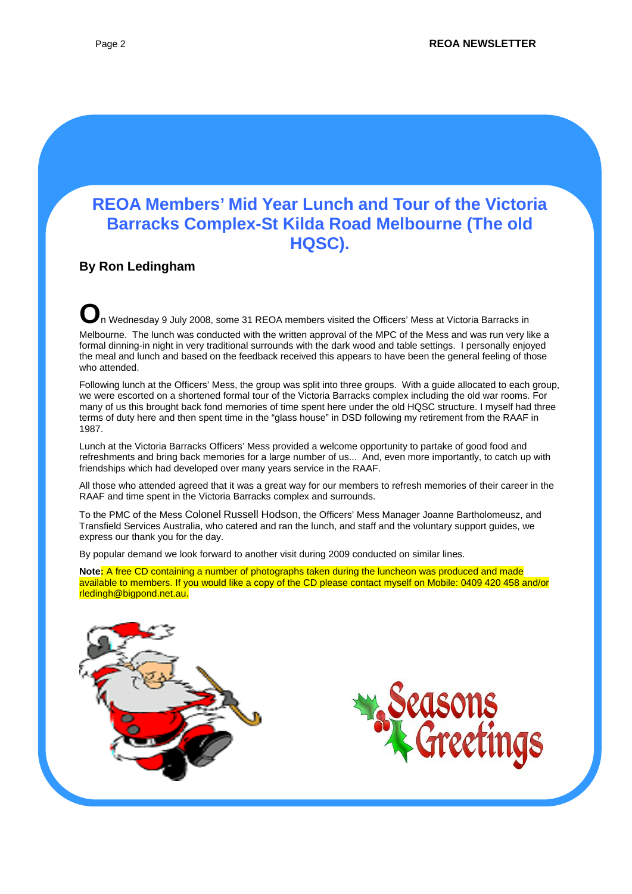# **REOA Members' Mid Year Lunch and Tour of the Victoria Barracks Complex-St Kilda Road Melbourne (The old HQSC).**

## **By Ron Ledingham**

**O**n Wednesday 9 July 2008, some 31 REOA members visited the Officers' Mess at Victoria Barracks in

Melbourne. The lunch was conducted with the written approval of the MPC of the Mess and was run very like a formal dinning-in night in very traditional surrounds with the dark wood and table settings. I personally enjoyed the meal and lunch and based on the feedback received this appears to have been the general feeling of those who attended.

Following lunch at the Officers' Mess, the group was split into three groups. With a guide allocated to each group, we were escorted on a shortened formal tour of the Victoria Barracks complex including the old war rooms. For many of us this brought back fond memories of time spent here under the old HQSC structure. I myself had three terms of duty here and then spent time in the "glass house" in DSD following my retirement from the RAAF in 1987.

Lunch at the Victoria Barracks Officers' Mess provided a welcome opportunity to partake of good food and refreshments and bring back memories for a large number of us... And, even more importantly, to catch up with friendships which had developed over many years service in the RAAF.

All those who attended agreed that it was a great way for our members to refresh memories of their career in the RAAF and time spent in the Victoria Barracks complex and surrounds.

To the PMC of the Mess Colonel Russell Hodson, the Officers' Mess Manager Joanne Bartholomeusz, and Transfield Services Australia, who catered and ran the lunch, and staff and the voluntary support guides, we express our thank you for the day.

By popular demand we look forward to another visit during 2009 conducted on similar lines.

**Note:** A free CD containing a number of photographs taken during the luncheon was produced and made available to members. If you would like a copy of the CD please contact myself on Mobile: 0409 420 458 and/or rledingh@bigpond.net.au.



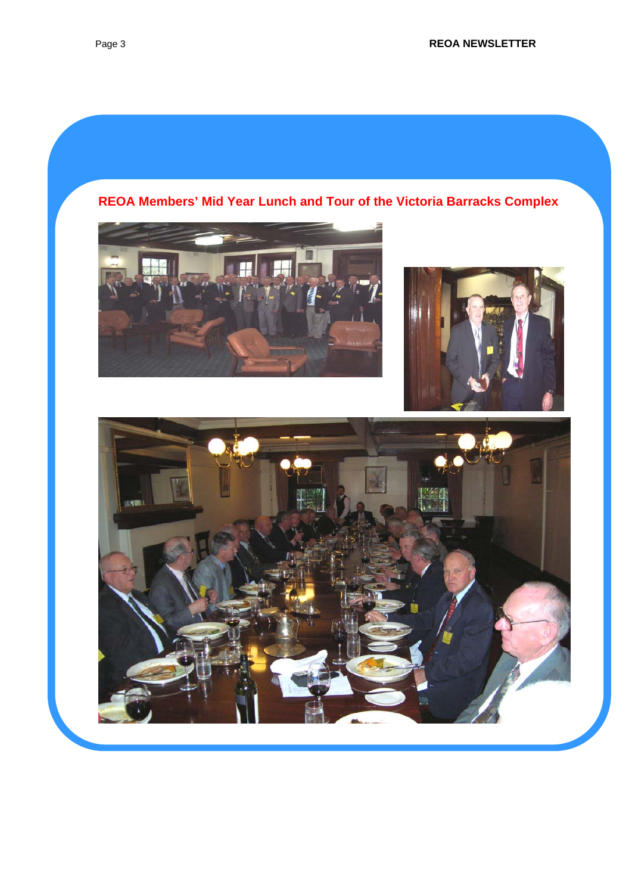





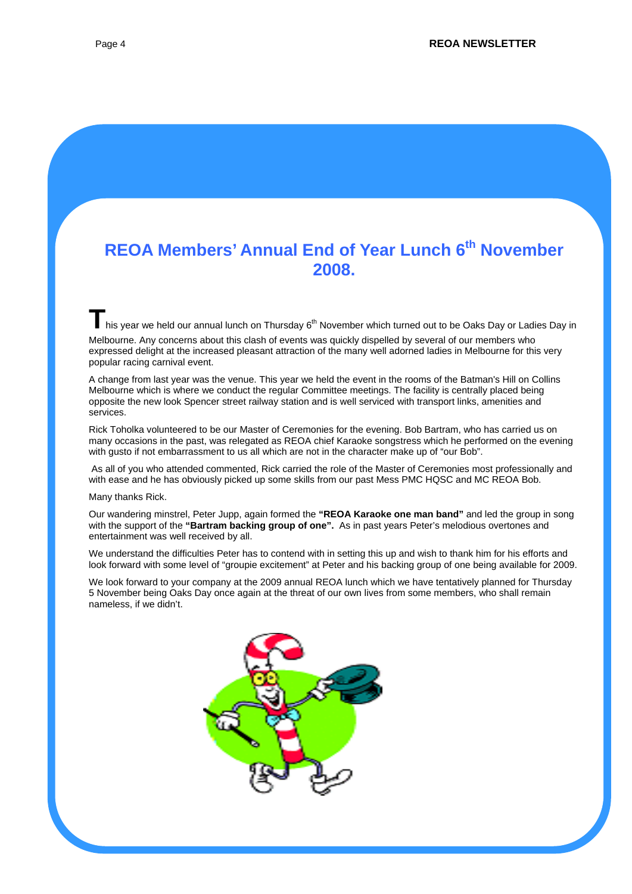# **REOA Members' Annual End of Year Lunch 6<sup>th</sup> November 2008.**

**T**his year we held our annual lunch on Thursday 6<sup>th</sup> November which turned out to be Oaks Day or Ladies Day in Melbourne. Any concerns about this clash of events was quickly dispelled by several of our members who expressed delight at the increased pleasant attraction of the many well adorned ladies in Melbourne for this very popular racing carnival event.

A change from last year was the venue. This year we held the event in the rooms of the Batman's Hill on Collins Melbourne which is where we conduct the regular Committee meetings. The facility is centrally placed being opposite the new look Spencer street railway station and is well serviced with transport links, amenities and services.

Rick Toholka volunteered to be our Master of Ceremonies for the evening. Bob Bartram, who has carried us on many occasions in the past, was relegated as REOA chief Karaoke songstress which he performed on the evening with gusto if not embarrassment to us all which are not in the character make up of "our Bob".

 As all of you who attended commented, Rick carried the role of the Master of Ceremonies most professionally and with ease and he has obviously picked up some skills from our past Mess PMC HQSC and MC REOA Bob.

Many thanks Rick.

Our wandering minstrel, Peter Jupp, again formed the **"REOA Karaoke one man band"** and led the group in song with the support of the **"Bartram backing group of one".** As in past years Peter's melodious overtones and entertainment was well received by all.

We understand the difficulties Peter has to contend with in setting this up and wish to thank him for his efforts and look forward with some level of "groupie excitement" at Peter and his backing group of one being available for 2009.

We look forward to your company at the 2009 annual REOA lunch which we have tentatively planned for Thursday 5 November being Oaks Day once again at the threat of our own lives from some members, who shall remain nameless, if we didn't.

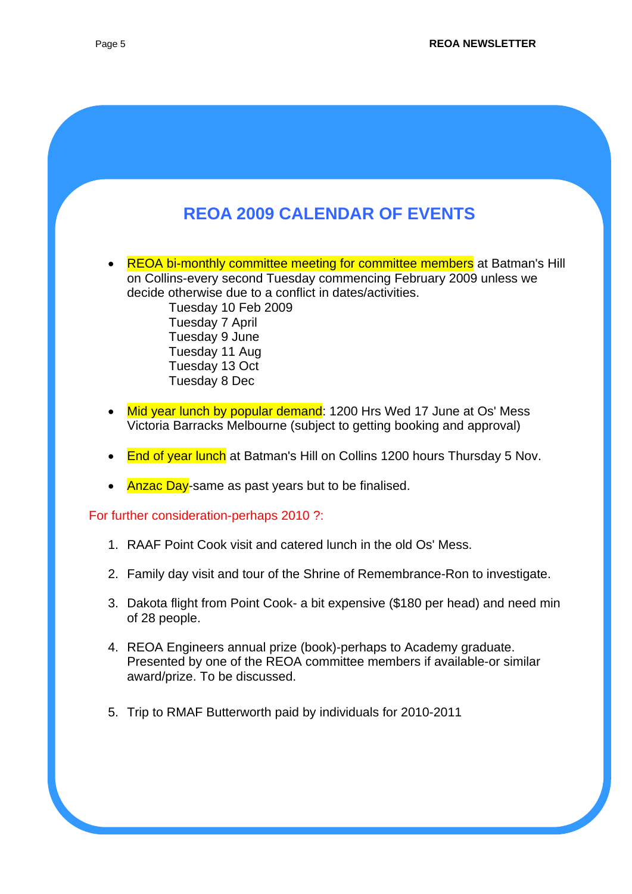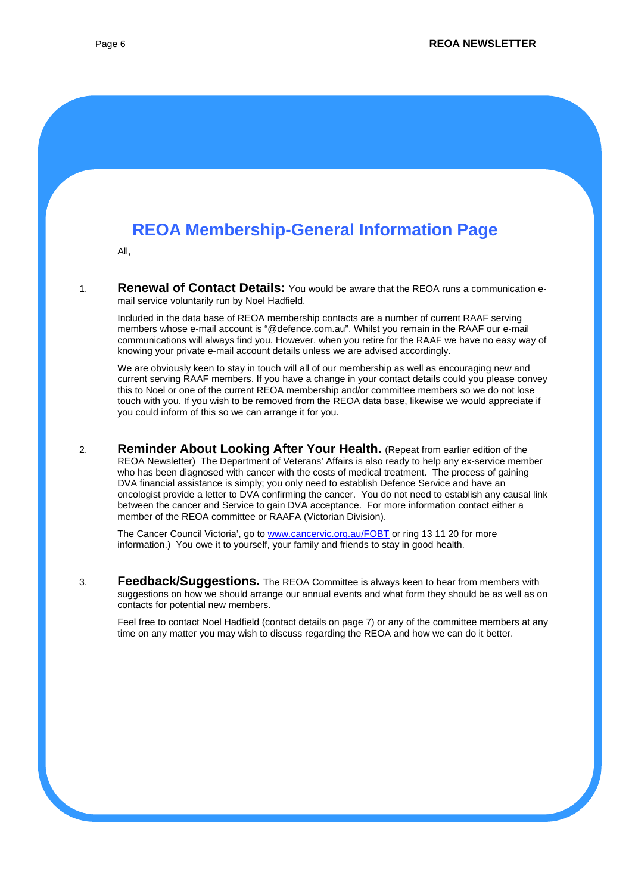# **REOA Membership-General Information Page**

All,

1. **Renewal of Contact Details:** You would be aware that the REOA runs a communication email service voluntarily run by Noel Hadfield.

Included in the data base of REOA membership contacts are a number of current RAAF serving members whose e-mail account is "@defence.com.au". Whilst you remain in the RAAF our e-mail communications will always find you. However, when you retire for the RAAF we have no easy way of knowing your private e-mail account details unless we are advised accordingly.

We are obviously keen to stay in touch will all of our membership as well as encouraging new and current serving RAAF members. If you have a change in your contact details could you please convey this to Noel or one of the current REOA membership and/or committee members so we do not lose touch with you. If you wish to be removed from the REOA data base, likewise we would appreciate if you could inform of this so we can arrange it for you.

2. **Reminder About Looking After Your Health.** (Repeat from earlier edition of the REOA Newsletter) The Department of Veterans' Affairs is also ready to help any ex-service member who has been diagnosed with cancer with the costs of medical treatment. The process of gaining DVA financial assistance is simply; you only need to establish Defence Service and have an oncologist provide a letter to DVA confirming the cancer. You do not need to establish any causal link between the cancer and Service to gain DVA acceptance. For more information contact either a member of the REOA committee or RAAFA (Victorian Division).

The Cancer Council Victoria', go to [www.cancervic.org.au/FOBT](http://www.cancervic.org.au/FOBT) or ring 13 11 20 for more information.) You owe it to yourself, your family and friends to stay in good health.

3. **Feedback/Suggestions.** The REOA Committee is always keen to hear from members with suggestions on how we should arrange our annual events and what form they should be as well as on contacts for potential new members.

Feel free to contact Noel Hadfield (contact details on page 7) or any of the committee members at any time on any matter you may wish to discuss regarding the REOA and how we can do it better.